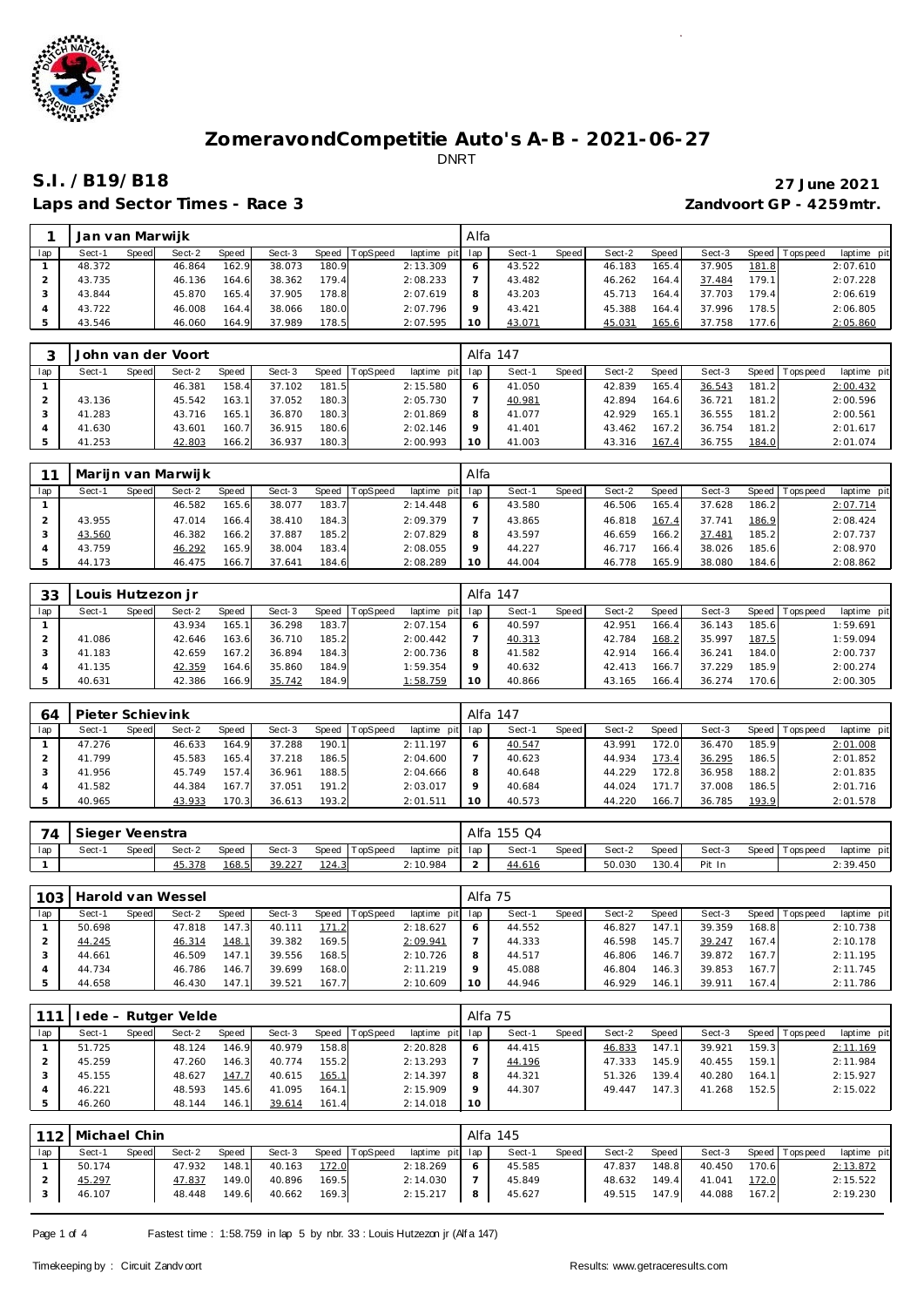

Laps and Sector Times - Race 3 *Zandvoort GP - 4259mtr.* 

# **S.I. /B19/B18 27 June 2021**

|     | Jan van Marwijk |       |        |       |        |       |                |             | Alfa    |        |       |        |              |        |        |                  |             |
|-----|-----------------|-------|--------|-------|--------|-------|----------------|-------------|---------|--------|-------|--------|--------------|--------|--------|------------------|-------------|
| lap | Sect-1          | Speed | Sect-2 | Speed | Sect-3 |       | Speed TopSpeed | laptime pit | lap     | Sect-1 | Speed | Sect-2 | <b>Speed</b> | Sect-3 | Speed  | <b>Tops peed</b> | laptime pit |
|     | 48.372          |       | 46.864 | 162.9 | 38.073 | 180.9 |                | 2:13.309    | O       | 43.522 |       | 46.183 | 165.4        | 37.905 | 181.8  |                  | 2:07.610    |
|     | 43.735          |       | 46.136 | 164.6 | 38.362 | 179.4 |                | 2:08.233    |         | 43.482 |       | 46.262 | 164          | 37.484 | 179.1  |                  | 2:07.228    |
|     | 43.844          |       | 45.870 | 165.4 | 37.905 | 178.8 |                | 2:07.619    | 8       | 43.203 |       | 45.713 | 164          | 37.703 | 179.41 |                  | 2:06.619    |
|     | 43.722          |       | 46.008 | 164.4 | 38.066 | 180.0 |                | 2:07.796    | $\circ$ | 43.421 |       | 45.388 | 164.4        | 37.996 | 178.5  |                  | 2:06.805    |
|     | 43.546          |       | 46.060 | 164.9 | 37.989 | 178.5 |                | 2:07.595    | 10      | 43.071 |       | 45.031 | 165.6        | 37.758 | 177.6  |                  | 2:05.860    |

|     |        |       | John van der Voort |       |        |       |                |             |     | Alfa 147 |       |        |       |        |         |             |             |
|-----|--------|-------|--------------------|-------|--------|-------|----------------|-------------|-----|----------|-------|--------|-------|--------|---------|-------------|-------------|
| lap | Sect-1 | Speed | Sect-2             | Speed | Sect-3 |       | Speed TopSpeed | laptime pit | lap | Sect-1   | Speed | Sect-2 | Speed | Sect-3 | Speed I | T ops pee d | laptime pit |
|     |        |       | 46.381             | 158.4 | 37.102 | 181.5 |                | 2:15.580    | 6   | 41.050   |       | 42.839 | 165.4 | 36.543 | 181.2   |             | 2:00.432    |
|     | 43.136 |       | 45.542             | 163.1 | 37.052 | 180.3 |                | 2:05.730    |     | 40.981   |       | 42.894 | 164.6 | 36.721 | 181.2   |             | 2:00.596    |
|     | 41.283 |       | 43.716             | 165.1 | 36.870 | 180.3 |                | 2:01.869    | 8   | 41.077   |       | 42.929 | 165.1 | 36.555 | 181.2   |             | 2:00.561    |
|     | 41.630 |       | 43.601             | 160.7 | 36.915 | 180.6 |                | 2:02.146    | Q   | 41.401   |       | 43.462 | 167.2 | 36.754 | 181.2   |             | 2:01.617    |
|     | 41.253 |       | 42.803             | 166.2 | 36.937 | 180.3 |                | 2:00.993    | 10  | 41.003   |       | 43.316 | 167.4 | 36.755 | 184.0   |             | 2:01.074    |

|     |        |       | Mariin van Marwiik |       |        |       |                 |             | Alfa    |        |       |        |       |        |       |                 |             |
|-----|--------|-------|--------------------|-------|--------|-------|-----------------|-------------|---------|--------|-------|--------|-------|--------|-------|-----------------|-------------|
| lap | Sect-1 | Speed | Sect-2             | Speed | Sect-3 | Speed | <b>TopSpeed</b> | laptime pit | ∣lap    | Sect-1 | Speed | Sect-2 | Speed | Sect-3 |       | Speed Tops peed | laptime pit |
|     |        |       | 46.582             | 165.6 | 38.077 | 183.7 |                 | 2:14.448    |         | 43.580 |       | 46.506 | 165.4 | 37.628 | 186.2 |                 | 2:07.714    |
|     | 43.955 |       | 47.014             | 166.4 | 38.410 | 184.3 |                 | 2:09.379    |         | 43.865 |       | 46.818 | 167.4 | 37.741 | 186.9 |                 | 2:08.424    |
|     | 43.560 |       | 46.382             | 166.2 | 37.887 | 185.2 |                 | 2:07.829    | 8       | 43.597 |       | 46.659 | 166.2 | 37.481 | 185.2 |                 | 2:07.737    |
|     | 43.759 |       | 46.292             | 165.9 | 38.004 | 183.4 |                 | 2:08.055    | $\circ$ | 44.227 |       | 46.717 | 166.4 | 38.026 | 185.6 |                 | 2:08.970    |
|     | 44.173 |       | 46.475             | 166.7 | 37.641 | 184.6 |                 | 2:08.289    | 10      | 44.004 |       | 46.778 | 165.9 | 38.080 | 184.6 |                 | 2:08.862    |

| 33  |        |       | ouis Hutzezon j r |       |        |       |          |             |     | Alfa 147 |       |        |       |        |         |           |             |
|-----|--------|-------|-------------------|-------|--------|-------|----------|-------------|-----|----------|-------|--------|-------|--------|---------|-----------|-------------|
| lap | Sect-1 | Speed | Sect-2            | Speed | Sect-3 | Speed | TopSpeed | laptime pit | lap | Sect-1   | Speed | Sect-2 | Speed | Sect-3 | Speed I | Tops peed | laptime pit |
|     |        |       | 43.934            | 165.1 | 36.298 | 183.7 |          | 2:07.154    |     | 40.597   |       | 42.951 | 166.4 | 36.143 | 185.61  |           | 1:59.691    |
|     | 41.086 |       | 42.646            | 163.6 | 36.710 | 185.2 |          | 2:00.442    |     | 40.313   |       | 42.784 | 168.2 | 35.997 | 187.5   |           | 1:59.094    |
|     | 41.183 |       | 42.659            | 167.2 | 36.894 | 184.3 |          | 2:00.736    | 8   | 41.582   |       | 42.914 | 166.4 | 36.241 | 184.0   |           | 2:00.737    |
|     | 41.135 |       | 42.359            | 164.6 | 35.860 | 184.9 |          | 1:59.354    |     | 40.632   |       | 42.413 | 166.7 | 37.229 | 185.9   |           | 2:00.274    |
|     | 40.631 |       | 42.386            | 166.9 | 35.742 | 184.9 |          | 1:58.759    | 10  | 40.866   |       | 43.165 | 166.4 | 36.274 | 170.6   |           | 2:00.305    |

| 64  | Pieter Schievink |       |        |              |        |         |                 |                 | Alfa 147 |       |        |                    |        |       |                 |             |
|-----|------------------|-------|--------|--------------|--------|---------|-----------------|-----------------|----------|-------|--------|--------------------|--------|-------|-----------------|-------------|
| lap | Sect-1           | Speed | Sect-2 | <b>Speed</b> | Sect-3 | Speed 1 | <b>TopSpeed</b> | laptime pit lap | Sect-1   | Speed | Sect-2 | Speed              | Sect-3 |       | Speed Tops peed | laptime pit |
|     | 47.276           |       | 46.633 | 164.9        | 37.288 | 190.1   |                 | 2:11.197        | 40.547   |       | 43.991 | 172.0              | 36.470 | 185.9 |                 | 2:01.008    |
|     | 41.799           |       | 45.583 | 165.4        | 37.218 | 186.5   |                 | 2:04.600        | 40.623   |       | 44.934 | 173.4 <sub>1</sub> | 36.295 | 186.5 |                 | 2:01.852    |
|     | 41.956           |       | 45.749 | 157.4        | 36.961 | 188.5   |                 | 2:04.666        | 40.648   |       | 44.229 | 172.8              | 36.958 | 188.2 |                 | 2:01.835    |
|     | 41.582           |       | 44.384 | 167.7        | 37.051 | 191.2   |                 | 2:03.017        | 40.684   |       | 44.024 | 171                | 37.008 | 186.5 |                 | 2:01.716    |
|     | 40.965           |       | 43.933 | 170.3        | 36.613 | 193.2   |                 | 2:01.511        | 40.573   |       | 44.220 | 166.7              | 36.785 | 193.9 |                 | 2:01.578    |

| 74  | Sieger Veenstra |       |        |       |        |       |                |                 | Alfa | 155 Q4 |       |        |       |        |                 |             |
|-----|-----------------|-------|--------|-------|--------|-------|----------------|-----------------|------|--------|-------|--------|-------|--------|-----------------|-------------|
| lap | Sect-           | Speed | Sect-2 | Speed | Sect-3 |       | Speed TopSpeed | laptime pit lap |      | Sect-1 | Speed | Sect-2 | Speed | Sect-3 | Speed Tops peed | laptime pit |
|     |                 |       | 45.378 | 168.5 | 39.227 | 124.3 |                | 2:10.984        |      | 44.616 |       | 50.030 | 130.4 | Pit In |                 | 2:39.450    |

| 103 |          |       | Harold van Wessel |              |        |         |          |                 | Alfa 75 |        |       |        |       |        |       |                 |             |
|-----|----------|-------|-------------------|--------------|--------|---------|----------|-----------------|---------|--------|-------|--------|-------|--------|-------|-----------------|-------------|
| lap | $Sect-1$ | Speed | Sect-2            | <b>Speed</b> | Sect-3 | Speed I | TopSpeed | laptime pit lap |         | Sect-  | Speed | Sect-2 | Speed | Sect-3 |       | Speed Tops peed | laptime pit |
|     | 50.698   |       | 47.818            | 147.3        | 40.111 | 171.2   |          | 2:18.627        | 6       | 44.552 |       | 46.827 | 147.1 | 39.359 | 168.8 |                 | 2:10.738    |
|     | 44.245   |       | 46.314            | 148.1        | 39.382 | 169.5   |          | 2:09.941        |         | 44.333 |       | 46.598 | 145.7 | 39.247 | 167.4 |                 | 2:10.178    |
|     | 44.661   |       | 46.509            | 147.1        | 39.556 | 168.5   |          | 2:10.726        | 8       | 44.517 |       | 46.806 | 146.7 | 39.872 | 167.7 |                 | 2:11.195    |
|     | 44.734   |       | 46.786            | 146.7        | 39.699 | 168.0   |          | 2:11.219        |         | 45.088 |       | 46.804 | 146.3 | 39.853 | 167.7 |                 | 2:11.745    |
|     | 44.658   |       | 46.430            | 147.11       | 39.521 | 167.7   |          | 2:10.609        | 10      | 44.946 |       | 46.929 | 146.1 | 39.911 | 167.4 |                 | 2:11.786    |

| 111 |        |       | 'ede - Rutger Velde |       |        |              |          |             | Alfa 75 |        |       |        |                    |        |         |            |             |
|-----|--------|-------|---------------------|-------|--------|--------------|----------|-------------|---------|--------|-------|--------|--------------------|--------|---------|------------|-------------|
| lap | Sect-1 | Speed | Sect-2              | Speed | Sect-3 | Speed        | TopSpeed | laptime pit | lap     | Sect-1 | Speed | Sect-2 | Speed              | Sect-3 | Speed I | Tops pee d | laptime pit |
|     | 51.725 |       | 48.124              | 146.9 | 40.979 | 158.8        |          | 2:20.828    | $\circ$ | 44.415 |       | 46.833 | 147                | 39.921 | 159.3   |            | 2:11.169    |
|     | 45.259 |       | 47.260              | 146.3 | 40.774 | 155.2        |          | 2:13.293    |         | 44.196 |       | 47.333 | 145.9              | 40.455 | 159.1   |            | 2:11.984    |
|     | 45.155 |       | 48.627              | 147.7 | 40.615 | <u>165.1</u> |          | 2:14.397    | 8       | 44.321 |       | 51.326 | 139.4 <sub>1</sub> | 40.280 | 164.1   |            | 2:15.927    |
|     | 46.221 |       | 48.593              | 145.6 | 41.095 | 164.1        |          | 2:15.909    |         | 44.307 |       | 49.447 | 147.3              | 41.268 | 152.5   |            | 2:15.022    |
|     | 46.260 |       | 48.144              | 146.1 | 39.614 | 161.4        |          | 2:14.018    | 10      |        |       |        |                    |        |         |            |             |

|     | 112   Michael Chin |       |        |       |        |       |                |                 |    | Alfa 145 |       |        |       |        |       |                 |             |
|-----|--------------------|-------|--------|-------|--------|-------|----------------|-----------------|----|----------|-------|--------|-------|--------|-------|-----------------|-------------|
| lap | Sect-1             | Speed | Sect-2 | Speed | Sect-3 |       | Speed TopSpeed | laptime pit lap |    | Sect-1   | Speed | Sect-2 | Speed | Sect-3 |       | Speed Tops peed | laptime pit |
|     | 50.174             |       | 47.932 | 148.1 | 40.163 | 172.0 |                | 2:18.269        | -6 | 45.585   |       | 47.837 | 148.8 | 40.450 | 170.6 |                 | 2:13.872    |
|     | 45.297             |       | 47.837 | 149.0 | 40.896 | 169.5 |                | 2:14.030        |    | 45.849   |       | 48.632 | 149.4 | 41.041 | 172.0 |                 | 2:15.522    |
|     | 46.107             |       | 48.448 | 149.6 | 40.662 | 169.3 |                | 2:15.217        | 8  | 45.627   |       | 49.515 | 147.9 | 44.088 | 167.2 |                 | 2:19.230    |

Page 1 of 4 Fastest time : 1:58.759 in lap 5 by nbr. 33 : Louis Hutzezon jr (Alf a 147)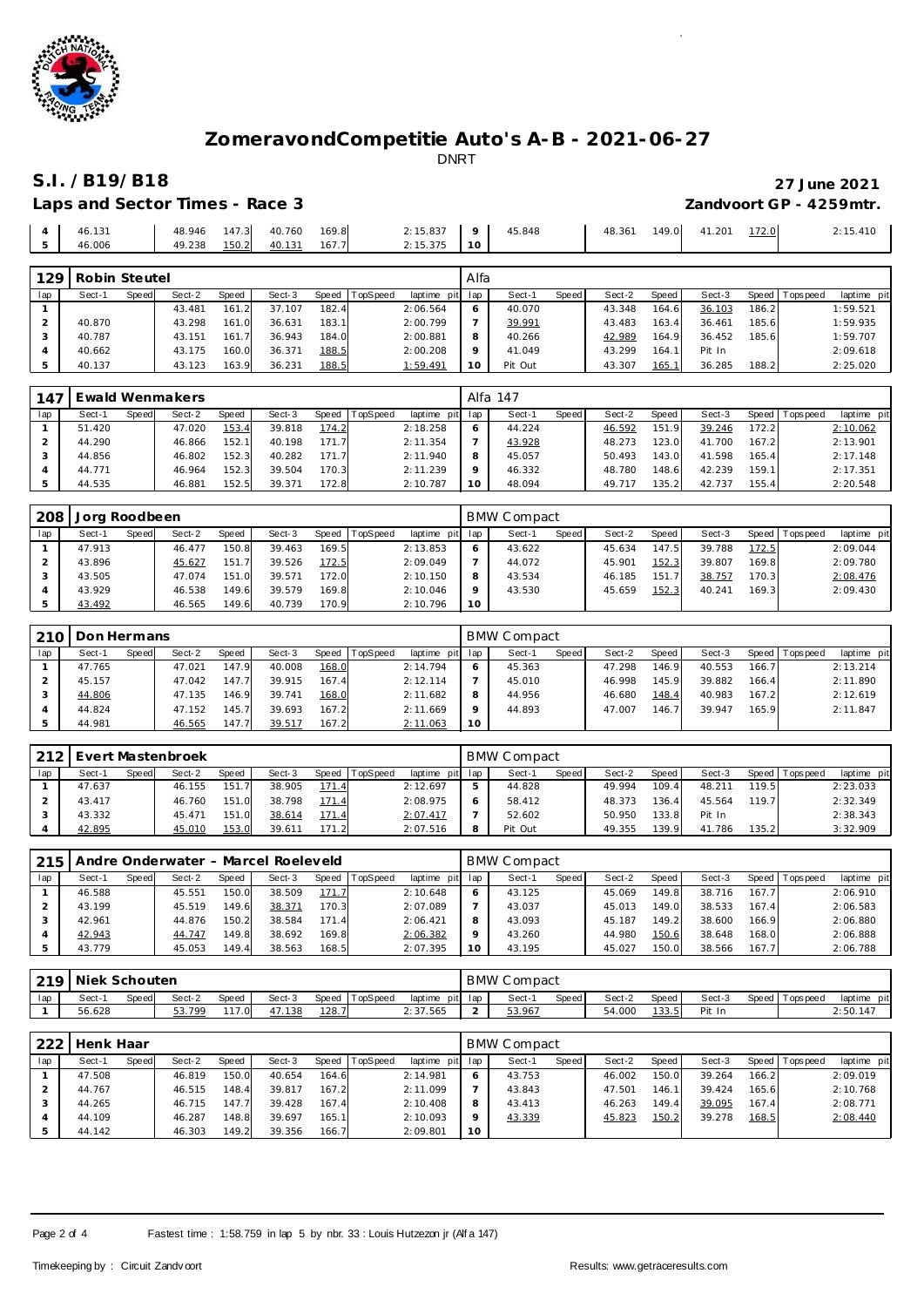

# **S.I. /B19/B18 27 June 2021** Laps and Sector Times - Race 3 *Zandvoort GP - 4259mtr.*

45.410

|                | ____________________________________ |                              |  |                   |  |  | _____               |
|----------------|--------------------------------------|------------------------------|--|-------------------|--|--|---------------------|
|                |                                      |                              |  |                   |  |  |                     |
|                | $4 \times 46.131$                    | 48.946 147.3 40.760 169.8    |  | 2:15.837 9 45.848 |  |  | 48.361 149.0 41.201 |
| 5 <sub>1</sub> | 46.006                               | 49.238  150.2  40.131  167.7 |  | 2:15.375   10     |  |  |                     |

| 129           | Robin Steutel |       |        |       |        |       |          |                 | Alfa    |         |       |        |       |        |       |                   |             |
|---------------|---------------|-------|--------|-------|--------|-------|----------|-----------------|---------|---------|-------|--------|-------|--------|-------|-------------------|-------------|
| lap           | Sect-1        | Speed | Sect-2 | Speed | Sect-3 | Speed | TopSpeed | laptime pit lap |         | Sect-1  | Speed | Sect-2 | Speed | Sect-3 |       | Speed   Tops peed | laptime pit |
|               |               |       | 43.481 | 161   | 37.107 | 182.4 |          | 2:06.564        | 6       | 40.070  |       | 43.348 | 164.6 | 36.103 | 186.2 |                   | 1:59.521    |
|               | 40.870        |       | 43.298 | 161.0 | 36.631 | 183.1 |          | 2:00.799        |         | 39.991  |       | 43.483 | 163.4 | 36.461 | 185.6 |                   | 1:59.935    |
|               | 40.787        |       | 43.151 | 161   | 36.943 | 184.0 |          | 2:00.881        | 8       | 40.266  |       | 42.989 | 164.9 | 36.452 | 185.6 |                   | 1:59.707    |
| $\rightarrow$ | 40.662        |       | 43.175 | 160.0 | 36.371 | 188.5 |          | 2:00.208        | $\circ$ | 41.049  |       | 43.299 | 164.1 | Pit In |       |                   | 2:09.618    |
|               | 40.137        |       | 43.123 | 163.9 | 36.231 | 188.5 |          | 1:59.491        | 10      | Pit Out |       | 43.307 | 165.7 | 36.285 | 188.2 |                   | 2:25.020    |

| .147 |        |       | Ewald Wenmakers |       |        |       |          |                 |         | Alfa 147 |       |        |        |        |       |                   |             |
|------|--------|-------|-----------------|-------|--------|-------|----------|-----------------|---------|----------|-------|--------|--------|--------|-------|-------------------|-------------|
| lap  | Sect-1 | Speed | Sect-2          | Speed | Sect-3 | Speed | TopSpeed | laptime<br>pitl | lap     | Sect-1   | Speed | Sect-2 | Speed  | Sect-3 |       | Speed   Tops peed | laptime pit |
|      | 51.420 |       | 47.020          | 153.4 | 39.818 | 174.2 |          | 2:18.258        | O       | 44.224   |       | 46.592 | 151.9  | 39.246 | 172.2 |                   | 2:10.062    |
|      | 44.290 |       | 46.866          | 152.1 | 40.198 | 171.7 |          | 2:11.354        |         | 43.928   |       | 48.273 | '23.0' | 41.700 | 167.2 |                   | 2:13.901    |
|      | 44.856 |       | 46.802          | 152.3 | 40.282 | 171.7 |          | 2:11.940        | 8       | 45.057   |       | 50.493 | 143.0  | 41.598 | 165.4 |                   | 2:17.148    |
|      | 44.771 |       | 46.964          | 152.3 | 39.504 | 170.3 |          | 2:11.239        | $\circ$ | 46.332   |       | 48.780 | 148.6  | 42.239 | 159.1 |                   | 2:17.351    |
|      | 44.535 |       | 46.881          | 152.5 | 39.371 | 172.8 |          | 2:10.787        | 10      | 48.094   |       | 49.717 | 135.2  | 42.737 | 155.4 |                   | 2:20.548    |

| 208 | Jorg Roodbeen |       |        |       |        |       |          |             |     | <b>BMW Compact</b> |       |        |        |        |       |                   |             |
|-----|---------------|-------|--------|-------|--------|-------|----------|-------------|-----|--------------------|-------|--------|--------|--------|-------|-------------------|-------------|
| lap | Sect-1        | Speed | Sect-2 | Speed | Sect-3 | Speed | TopSpeed | laptime pit | lap | Sect-1             | Speed | Sect-2 | Speed  | Sect-3 |       | Speed   Tops peed | laptime pit |
|     | 47.913        |       | 46.477 | 150.8 | 39.463 | 169.5 |          | 2:13.853    |     | 43.622             |       | 45.634 | 147.51 | 39.788 | 172.5 |                   | 2:09.044    |
|     | 43.896        |       | 45.627 | 151.7 | 39.526 | 172.5 |          | 2:09.049    |     | 44.072             |       | 45.901 | 152.3  | 39.807 | 169.8 |                   | 2:09.780    |
|     | 43.505        |       | 47.074 | 151.0 | 39.571 | 172.0 |          | 2:10.150    | 8   | 43.534             |       | 46.185 | 151    | 38.757 | 170.3 |                   | 2:08.476    |
|     | 43.929        |       | 46.538 | 149.6 | 39.579 | 169.8 |          | 2:10.046    |     | 43.530             |       | 45.659 | 152.3  | 40.241 | 169.3 |                   | 2:09.430    |
|     | 43.492        |       | 46.565 | 149.6 | 40.739 | 170.9 |          | 2:10.796    | 10  |                    |       |        |        |        |       |                   |             |

|     | 210   Don Hermans |       |        |       |        |       |          |             |              | <b>BMW Compact</b> |       |        |         |        |         |            |             |
|-----|-------------------|-------|--------|-------|--------|-------|----------|-------------|--------------|--------------------|-------|--------|---------|--------|---------|------------|-------------|
| lap | Sect-1            | Speed | Sect-2 | Speed | Sect-3 | Speed | TopSpeed | laptime pit | lap          | Sect-1             | Speed | Sect-2 | Speed I | Sect-3 | Speed I | T ops peed | laptime pit |
|     | 47.765            |       | 47.021 | 147.9 | 40.008 | 168.0 |          | 2:14.794    | <sub>o</sub> | 45.363             |       | 47.298 | 146.9   | 40.553 | 166.71  |            | 2:13.214    |
|     | 45.157            |       | 47.042 | 147.7 | 39.915 | 167.4 |          | 2:12.114    |              | 45.010             |       | 46.998 | 145.9   | 39.882 | 166.4   |            | 2:11.890    |
|     | 44.806            |       | 47.135 | 146.9 | 39.741 | 168.0 |          | 2:11.682    | 8            | 44.956             |       | 46.680 | 148.4   | 40.983 | 167.2   |            | 2:12.619    |
|     | 44.824            |       | 47.152 | 145.7 | 39.693 | 167.2 |          | 2:11.669    |              | 44.893             |       | 47.007 | 146.7   | 39.947 | 165.9   |            | 2:11.847    |
|     | 44.981            |       | 46.565 | 147.7 | 39.517 | 167.2 |          | 2:11.063    | 10           |                    |       |        |         |        |         |            |             |

| 212 |        |       | Evert Mastenbroek |       |        |       |                |                |     | <b>BMW Compact</b> |       |        |       |        |       |                   |             |
|-----|--------|-------|-------------------|-------|--------|-------|----------------|----------------|-----|--------------------|-------|--------|-------|--------|-------|-------------------|-------------|
| lap | Sect-1 | Speed | Sect-2            | Speed | Sect-3 |       | Speed TopSpeed | laptime<br>pit | lap | Sect-1             | Speed | Sect-2 | Speed | Sect-3 |       | Speed   Tops peed | laptime pit |
|     | 47.637 |       | 46.155            | 151.7 | 38.905 | 171.4 |                | 2:12.697       | ь   | 44.828             |       | 49.994 | 109.4 | 48.211 | 119.5 |                   | 2:23.033    |
|     | 43.417 |       | 46.760            | 151.0 | 38.798 | 171.4 |                | 2:08.975       | 6   | 58.412             |       | 48.373 | 136.4 | 45.564 | 119.7 |                   | 2:32.349    |
|     | 43.332 |       | 45.471            | 151.0 | 38.614 | 171.4 |                | 2:07.417       |     | 52.602             |       | 50.950 | 133.8 | Pit In |       |                   | 2:38.343    |
|     | 42.895 |       | 45.010            | 153.0 | 39.611 | 171.2 |                | 2:07.516       | 8   | Pit Out            |       | 49.355 | 139.9 | 41.786 | 135.2 |                   | 3:32.909    |

|     |        |       |        |       | 215   Andre Onderwater - Marcel Roeleveld |       |          |                |         | BMW Compact |              |        |       |        |       |                 |             |
|-----|--------|-------|--------|-------|-------------------------------------------|-------|----------|----------------|---------|-------------|--------------|--------|-------|--------|-------|-----------------|-------------|
| lap | Sect-1 | Speed | Sect-2 | Speed | Sect-3                                    | Speed | TopSpeed | laptime<br>pit | lap     | Sect-1      | <b>Speed</b> | Sect-2 | Speed | Sect-3 |       | Speed Tops peed | laptime pit |
|     | 46.588 |       | 45.551 | 150.0 | 38.509                                    | 171.7 |          | 2:10.648       | 6       | 43.125      |              | 45.069 | 149.8 | 38.716 | 167.7 |                 | 2:06.910    |
|     | 43.199 |       | 45.519 | 149.6 | 38.371                                    | 170.3 |          | 2:07.089       |         | 43.037      |              | 45.013 | 149.0 | 38.533 | 167.4 |                 | 2:06.583    |
|     | 42.961 |       | 44.876 | 150.2 | 38.584                                    | 171.4 |          | 2:06.421       | 8       | 43.093      |              | 45.187 | 149.2 | 38.600 | 166.9 |                 | 2:06.880    |
|     | 42.943 |       | 44.747 | 149.8 | 38.692                                    | 169.8 |          | 2:06.382       | $\circ$ | 43.260      |              | 44.980 | 150.6 | 38.648 | 168.0 |                 | 2:06.888    |
|     | 43.779 |       | 45.053 | 149.4 | 38.563                                    | 168.5 |          | 2:07.395       | 10      | 43.195      |              | 45.027 | 150.0 | 38.566 | 167.7 |                 | 2:06.788    |

| 219 | Niek Schouten |       |        |       |        |              |          |                 | BMW Compact |       |        |       |        |           |           |                |
|-----|---------------|-------|--------|-------|--------|--------------|----------|-----------------|-------------|-------|--------|-------|--------|-----------|-----------|----------------|
| lap | Sect-         | Speed | Sect-2 | Speed | Sect-3 | <b>Speed</b> | TopSpeed | laptime pit lap | Sect-1      | Speed | Sect-2 | Speed | Sect-3 | Speed   T | Tops peed | pit<br>laptime |
|     | 56.628        |       | 53.799 | 117.0 | 47.138 | 128.7        |          | 2:37.565        | 53.967      |       | 54.000 | 133.5 | Pit In |           |           | 2:50.147       |

| 222 | Henk Haar |       |        |       |        |        |          |                 |          | <b>BMW Compact</b> |              |        |       |        |       |                 |             |
|-----|-----------|-------|--------|-------|--------|--------|----------|-----------------|----------|--------------------|--------------|--------|-------|--------|-------|-----------------|-------------|
| lap | Sect-1    | Speed | Sect-2 | Speed | Sect-3 | Speed  | TopSpeed | laptime pit lap |          | Sect-1             | <b>Speed</b> | Sect-2 | Speed | Sect-3 |       | Speed Tops peed | laptime pit |
|     | 47.508    |       | 46.819 | 150.0 | 40.654 | 164.6  |          | 2:14.981        |          | 43.753             |              | 46.002 | 150.0 | 39.264 | 166.2 |                 | 2:09.019    |
|     | 44.767    |       | 46.515 | 148.4 | 39.817 | 167.2  |          | 2:11.099        |          | 43.843             |              | 47.501 | 146.1 | 39.424 | 165.6 |                 | 2:10.768    |
|     | 44.265    |       | 46.715 | 147.7 | 39.428 | 167.4  |          | 2:10.408        | 8        | 43.413             |              | 46.263 | 149.4 | 39.095 | 167.4 |                 | 2:08.771    |
|     | 44.109    |       | 46.287 | 148.8 | 39.697 | 165.11 |          | 2:10.093        | $\Omega$ | 43.339             |              | 45.823 | 150.2 | 39.278 | 168.5 |                 | 2:08.440    |
|     | 44.142    |       | 46.303 | 149.2 | 39.356 | 166.7  |          | 2:09.801        | 10       |                    |              |        |       |        |       |                 |             |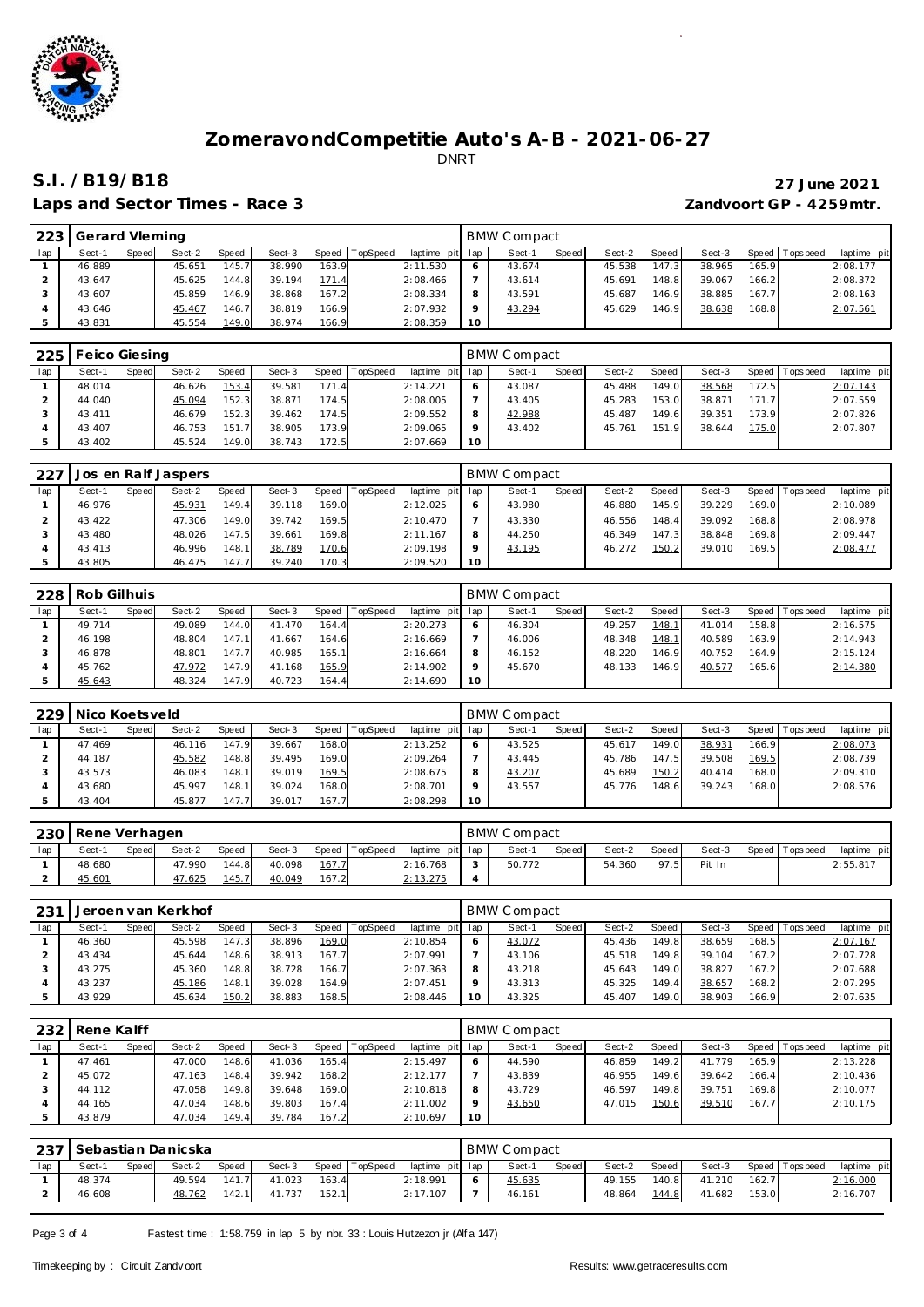

### Laps and Sector Times - Race 3 *Zandvoort GP - 4259mtr.*

# **S.I. /B19/B18 27 June 2021**

| 223 | Gerard Vleming |       |        |       |        |         |                 |                 |    | <b>BMW Compact</b> |       |        |       |        |       |                   |             |
|-----|----------------|-------|--------|-------|--------|---------|-----------------|-----------------|----|--------------------|-------|--------|-------|--------|-------|-------------------|-------------|
| lap | Sect-1         | Speed | Sect-2 | Speed | Sect-3 | Speed T | <b>TopSpeed</b> | laptime pit lap |    | Sect-1             | Speed | Sect-2 | Speed | Sect-3 |       | Speed   Tops peed | laptime pit |
|     | 46.889         |       | 45.651 | 145.7 | 38.990 | 163.9   |                 | 2:11.530        |    | 43.674             |       | 45.538 | 147.3 | 38.965 | 165.9 |                   | 2:08.177    |
|     | 43.647         |       | 45.625 | 144.8 | 39.194 | 171.4   |                 | 2:08.466        |    | 43.614             |       | 45.691 | 148.8 | 39.067 | 166.2 |                   | 2:08.372    |
|     | 43.607         |       | 45.859 | 146.9 | 38.868 | 167.2   |                 | 2:08.334        |    | 43.591             |       | 45.687 | 146.9 | 38.885 | 167.7 |                   | 2:08.163    |
|     | 43.646         |       | 45.467 | 146.7 | 38.819 | 166.9   |                 | 2:07.932        |    | 43.294             |       | 45.629 | 146.9 | 38.638 | 168.8 |                   | 2:07.561    |
|     | 43.831         |       | 45.554 | 149.0 | 38.974 | 166.9   |                 | 2:08.359        | 10 |                    |       |        |       |        |       |                   |             |

| 225 | Feico Giesing |       |        |       |        |           |                 |                 |         | <b>BMW Compact</b> |       |        |       |        |       |                 |             |
|-----|---------------|-------|--------|-------|--------|-----------|-----------------|-----------------|---------|--------------------|-------|--------|-------|--------|-------|-----------------|-------------|
| lap | Sect-1        | Speed | Sect-2 | Speed | Sect-3 | Speed   T | <b>TopSpeed</b> | laptime pit lap |         | Sect-1             | Speed | Sect-2 | Speed | Sect-3 |       | Speed Tops peed | laptime pit |
|     | 48.014        |       | 46.626 | 153.4 | 39.581 | 171.4     |                 | 2:14.221        |         | 43.087             |       | 45.488 | 149.0 | 38.568 | 172.5 |                 | 2:07.143    |
|     | 44.040        |       | 45.094 | 152.3 | 38.871 | 174.5     |                 | 2:08.005        |         | 43.405             |       | 45.283 | 153.0 | 38.871 | 171.7 |                 | 2:07.559    |
|     | 43.411        |       | 46.679 | 152.3 | 39.462 | 174.5     |                 | 2:09.552        |         | 42.988             |       | 45.487 | 149.6 | 39.351 | 173.9 |                 | 2:07.826    |
|     | 43.407        |       | 46.753 | 151.7 | 38.905 | 173.9     |                 | 2:09.065        | $\circ$ | 43.402             |       | 45.761 | 151.9 | 38.644 | 175.0 |                 | 2:07.807    |
|     | 43.402        |       | 45.524 | 149.0 | 38.743 | 172.5     |                 | 2:07.669        | 10      |                    |       |        |       |        |       |                 |             |

| 227 |        |       | Jos en Ralf Jaspers |       |        |         |                 |                 |    | BMW Compact |              |        |        |        |       |                   |             |
|-----|--------|-------|---------------------|-------|--------|---------|-----------------|-----------------|----|-------------|--------------|--------|--------|--------|-------|-------------------|-------------|
| lap | Sect-1 | Speed | Sect-2              | Speed | Sect-3 | Speed T | <b>TopSpeed</b> | laptime pit lap |    | Sect-1      | <b>Speed</b> | Sect-2 | Speed  | Sect-3 |       | Speed   Tops peed | laptime pit |
|     | 46.976 |       | 45.931              | 149.4 | 39.118 | 169.0   |                 | 2:12.025        |    | 43.980      |              | 46.880 | 145.9  | 39.229 | 169.0 |                   | 2:10.089    |
|     | 43.422 |       | 47.306              | 149.0 | 39.742 | 169.5   |                 | 2:10.470        |    | 43.330      |              | 46.556 | 148.4  | 39.092 | 168.8 |                   | 2:08.978    |
|     | 43.480 |       | 48.026              | 147.5 | 39.661 | 169.8   |                 | 2:11.167        | 8  | 44.250      |              | 46.349 | 147.31 | 38.848 | 169.8 |                   | 2:09.447    |
|     | 43.413 |       | 46.996              | 148.1 | 38.789 | 170.6   |                 | 2:09.198        |    | 43.195      |              | 46.272 | 150.2  | 39.010 | 169.5 |                   | 2:08.477    |
|     | 43.805 |       | 46.475              | 147.7 | 39.240 | 170.3   |                 | 2:09.520        | 10 |             |              |        |        |        |       |                   |             |

| 228 | Rob Gilhuis |       |        |       |        |       |          |                 |         | <b>BMW Compact</b> |       |        |       |        |       |                 |             |
|-----|-------------|-------|--------|-------|--------|-------|----------|-----------------|---------|--------------------|-------|--------|-------|--------|-------|-----------------|-------------|
| lap | Sect-1      | Speed | Sect-2 | Speed | Sect-3 | Speed | TopSpeed | laptime pit lap |         | Sect-1             | Speed | Sect-2 | Speed | Sect-3 |       | Speed Tops peed | laptime pit |
|     | 49.714      |       | 49.089 | 144.0 | 41.470 | 164.4 |          | 2:20.273        | 6       | 46.304             |       | 49.257 | 148.1 | 41.014 | 158.8 |                 | 2:16.575    |
|     | 46.198      |       | 48.804 | 147.1 | 41.667 | 164.6 |          | 2:16.669        |         | 46.006             |       | 48.348 | 148.1 | 40.589 | 163.9 |                 | 2:14.943    |
|     | 46.878      |       | 48.801 | 147.7 | 40.985 | 165.1 |          | 2:16.664        | 8       | 46.152             |       | 48.220 | 146.9 | 40.752 | 164.9 |                 | 2:15.124    |
|     | 45.762      |       | 47.972 | 147.9 | 41.168 | 165.9 |          | 2:14.902        | $\circ$ | 45.670             |       | 48.133 | 146.9 | 40.577 | 165.6 |                 | 2:14.380    |
|     | 45.643      |       | 48.324 | 147.9 | 40.723 | 164.4 |          | 2:14.690        | 10      |                    |       |        |       |        |       |                 |             |

| 229 | Nico Koetsveld |       |        |        |        |       |          |                |     | <b>BMW Compact</b> |              |        |       |        |         |           |             |
|-----|----------------|-------|--------|--------|--------|-------|----------|----------------|-----|--------------------|--------------|--------|-------|--------|---------|-----------|-------------|
| lap | Sect-1         | Speed | Sect-2 | Speed  | Sect-3 | Speed | TopSpeed | laptime<br>pit | lap | Sect-1             | <b>Speed</b> | Sect-2 | Speed | Sect-3 | Speed I | Tops peed | laptime pit |
|     | 47.469         |       | 46.116 | 147.9  | 39.667 | 168.0 |          | 2:13.252       |     | 43.525             |              | 45.617 | 149.0 | 38.931 | 166.9   |           | 2:08.073    |
|     | 44.187         |       | 45.582 | 148.8  | 39.495 | 169.0 |          | 2:09.264       |     | 43.445             |              | 45.786 | 147.5 | 39.508 | 169.5   |           | 2:08.739    |
|     | 43.573         |       | 46.083 | 148.11 | 39.019 | 169.5 |          | 2:08.675       |     | 43.207             |              | 45.689 | 150.2 | 40.414 | 168.0   |           | 2:09.310    |
|     | 43.680         |       | 45.997 | 148.1  | 39.024 | 168.0 |          | 2:08.701       |     | 43.557             |              | 45.776 | 148.6 | 39.243 | 168.0   |           | 2:08.576    |
|     | 43.404         |       | 45.877 | 147.7  | 39.017 | 167.7 |          | 2:08.298       | 10  |                    |              |        |       |        |         |           |             |

| 230 | Rene Verhagen |       |        |       |        |       |                |                 | <b>BMW Compact</b> |       |        |       |        |       |          |             |
|-----|---------------|-------|--------|-------|--------|-------|----------------|-----------------|--------------------|-------|--------|-------|--------|-------|----------|-------------|
| lap | Sect-1        | Speed | Sect-2 | Speed | Sect-3 |       | Speed TopSpeed | laptime pit lap | Sect-1             | Speed | Sect-2 | Speed | Sect-3 | Speed | Topspeed | laptime pit |
|     | 48.680        |       | 47.990 | 144.8 | 40.098 | 167.7 |                | 2:16.768        | 50.772             |       | 54.360 | 97.5  | Pit In |       |          | 2:55.817    |
|     | 45.601        |       | 47.625 | 145.7 | 40.049 | 167.2 |                | 2:13.275        |                    |       |        |       |        |       |          |             |

| 231 |        |       | Jeroen van Kerkhof |       |        |       |          |                 |     | BMW Compact |              |        |       |        |       |             |             |
|-----|--------|-------|--------------------|-------|--------|-------|----------|-----------------|-----|-------------|--------------|--------|-------|--------|-------|-------------|-------------|
| lap | Sect-1 | Speed | Sect-2             | Speed | Sect-3 | Speed | TopSpeed | laptime pit lap |     | Sect-1      | <b>Speed</b> | Sect-2 | Speed | Sect-3 | Speed | T ops pee d | laptime pit |
|     | 46.360 |       | 45.598             | 147.3 | 38.896 | 169.0 |          | 2:10.854        |     | 43.072      |              | 45.436 | 149.8 | 38.659 | 168.5 |             | 2:07.167    |
|     | 43.434 |       | 45.644             | 148.6 | 38.913 | 167.7 |          | 2:07.991        |     | 43.106      |              | 45.518 | 149.8 | 39.104 | 167.2 |             | 2:07.728    |
|     | 43.275 |       | 45.360             | 148.8 | 38.728 | 166.7 |          | 2:07.363        | 8   | 43.218      |              | 45.643 | 149.0 | 38.827 | 167.2 |             | 2:07.688    |
|     | 43.237 |       | 45.186             | 148.1 | 39.028 | 164.9 |          | 2:07.451        |     | 43.313      |              | 45.325 | 149.4 | 38.657 | 168.2 |             | 2:07.295    |
|     | 43.929 |       | 45.634             | 150.2 | 38.883 | 168.5 |          | 2:08.446        | ' O | 43.325      |              | 45.407 | 149.0 | 38.903 | 166.9 |             | 2:07.635    |

| 232 | Rene Kalff |       |        |       |        |       |          |                 |                 | BMW Compact |       |        |       |        |       |                   |             |
|-----|------------|-------|--------|-------|--------|-------|----------|-----------------|-----------------|-------------|-------|--------|-------|--------|-------|-------------------|-------------|
| lap | Sect-1     | Speed | Sect-2 | Speed | Sect-3 | Speed | TopSpeed | laptime pit lap |                 | Sect-1      | Speed | Sect-2 | Speed | Sect-3 |       | Speed   Tops peed | laptime pit |
|     | 47.461     |       | 47.000 | 148.6 | 41.036 | 165.4 |          | 2:15.497        |                 | 44.590      |       | 46.859 | 149.2 | 41.779 | 165.9 |                   | 2:13.228    |
|     | 45.072     |       | 47.163 | 148.4 | 39.942 | 168.2 |          | 2:12.177        |                 | 43.839      |       | 46.955 | 149.6 | 39.642 | 166.4 |                   | 2:10.436    |
|     | 44.112     |       | 47.058 | 149.8 | 39.648 | 169.0 |          | 2:10.818        | 8               | 43.729      |       | 46.597 | 149.8 | 39.751 | 169.8 |                   | 2:10.077    |
|     | 44.165     |       | 47.034 | 148.6 | 39.803 | 167.4 |          | 2:11.002        |                 | 43.650      |       | 47.015 | 150.6 | 39.510 | 167.7 |                   | 2:10.175    |
|     | 43.879     |       | 47.034 | 149.4 | 39.784 | 167.2 |          | 2:10.697        | 10 <sup>°</sup> |             |       |        |       |        |       |                   |             |

|     | 237 Sebastian Danicska |       |        |       |        |       |                |                 |    | <b>BMW Compact</b> |       |        |       |        |       |                   |             |
|-----|------------------------|-------|--------|-------|--------|-------|----------------|-----------------|----|--------------------|-------|--------|-------|--------|-------|-------------------|-------------|
| lap | Sect-1                 | Speed | Sect-2 | Speed | Sect-3 |       | Speed TopSpeed | laptime pit lap |    | Sect-1             | Speed | Sect-2 | Speed | Sect-3 |       | Speed   Tops peed | laptime pit |
|     | 48.374                 |       | 49.594 | 141.7 | 41.023 | 163.4 |                | 2:18.991        | -6 | 45.635             |       | 49.155 | 140.8 | 41.210 | 162.7 |                   | 2:16.000    |
|     | 46.608                 |       | 48.762 | 142.1 | 41.737 | 152.1 |                | 2:17.107        |    | 46.161             |       | 48.864 | 144.8 | 41.682 | 153.0 |                   | 2:16.707    |

Page 3 of 4 Fastest time : 1:58.759 in lap 5 by nbr. 33 : Louis Hutzezon jr (Alf a 147)